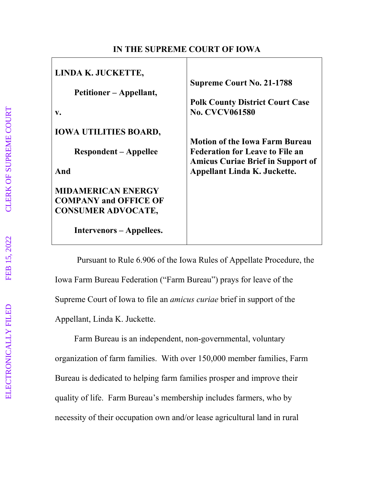## **IN THE SUPREME COURT OF IOWA**

| LINDA K. JUCKETTE,<br>Petitioner – Appellant,<br>V. | <b>Supreme Court No. 21-1788</b><br><b>Polk County District Court Case</b><br><b>No. CVCV061580</b> |
|-----------------------------------------------------|-----------------------------------------------------------------------------------------------------|
| <b>IOWA UTILITIES BOARD,</b>                        |                                                                                                     |
|                                                     | <b>Motion of the Iowa Farm Bureau</b>                                                               |
| <b>Respondent – Appellee</b>                        | <b>Federation for Leave to File an</b>                                                              |
|                                                     | <b>Amicus Curiae Brief in Support of</b>                                                            |
| And                                                 | <b>Appellant Linda K. Juckette.</b>                                                                 |
| <b>MIDAMERICAN ENERGY</b>                           |                                                                                                     |
| <b>COMPANY and OFFICE OF</b>                        |                                                                                                     |
| <b>CONSUMER ADVOCATE,</b>                           |                                                                                                     |
|                                                     |                                                                                                     |
| <b>Intervenors</b> – Appellees.                     |                                                                                                     |
|                                                     |                                                                                                     |

Pursuant to Rule 6.906 of the Iowa Rules of Appellate Procedure, the Iowa Farm Bureau Federation ("Farm Bureau") prays for leave of the Supreme Court of Iowa to file an *amicus curiae* brief in support of the Appellant, Linda K. Juckette.

Farm Bureau is an independent, non-governmental, voluntary organization of farm families. With over 150,000 member families, Farm Bureau is dedicated to helping farm families prosper and improve their quality of life. Farm Bureau's membership includes farmers, who by necessity of their occupation own and/or lease agricultural land in rural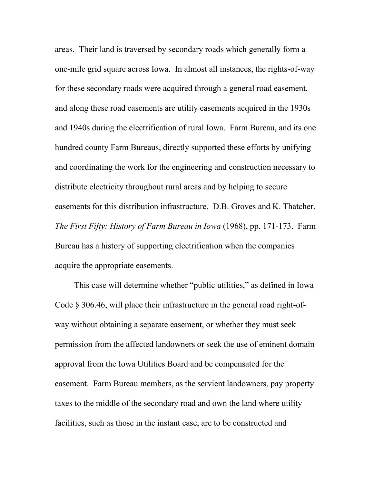areas. Their land is traversed by secondary roads which generally form a one-mile grid square across Iowa. In almost all instances, the rights-of-way for these secondary roads were acquired through a general road easement, and along these road easements are utility easements acquired in the 1930s and 1940s during the electrification of rural Iowa. Farm Bureau, and its one hundred county Farm Bureaus, directly supported these efforts by unifying and coordinating the work for the engineering and construction necessary to distribute electricity throughout rural areas and by helping to secure easements for this distribution infrastructure. D.B. Groves and K. Thatcher, *The First Fifty: History of Farm Bureau in Iowa* (1968), pp. 171-173. Farm Bureau has a history of supporting electrification when the companies acquire the appropriate easements.

This case will determine whether "public utilities," as defined in Iowa Code § 306.46, will place their infrastructure in the general road right-ofway without obtaining a separate easement, or whether they must seek permission from the affected landowners or seek the use of eminent domain approval from the Iowa Utilities Board and be compensated for the easement. Farm Bureau members, as the servient landowners, pay property taxes to the middle of the secondary road and own the land where utility facilities, such as those in the instant case, are to be constructed and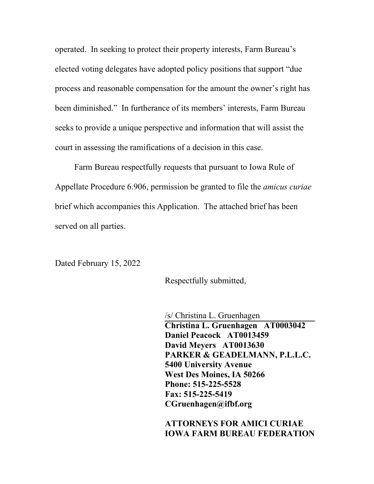operated. In seeking to protect their property interests, Farm Bureau's elected voting delegates have adopted policy positions that support "due process and reasonable compensation for the amount the owner's right has been diminished." In furtherance of its members' interests, Farm Bureau seeks to provide a unique perspective and information that will assist the court in assessing the ramifications of a decision in this case.

Farm Bureau respectfully requests that pursuant to Iowa Rule of Appellate Procedure 6.906, permission be granted to file the *amicus curiae* brief which accompanies this Application. The attached brief has been served on all parties.

Dated February 15, 2022

Respectfully submitted,

/s/ Christina L. Gruenhagen **Christina L. Gruenhagen AT0003042 Daniel Peacock AT0013459 David Meyers AT0013630 PARKER & GEADELMANN, P.L.L.C. 5400 University Avenue West Des Moines, IA 50266 Phone: 515-225-5528 Fax: 515-225-5419 CGruenhagen@ifbf.org** 

**ATTORNEYS FOR AMICI CURIAE IOWA FARM BUREAU FEDERATION**